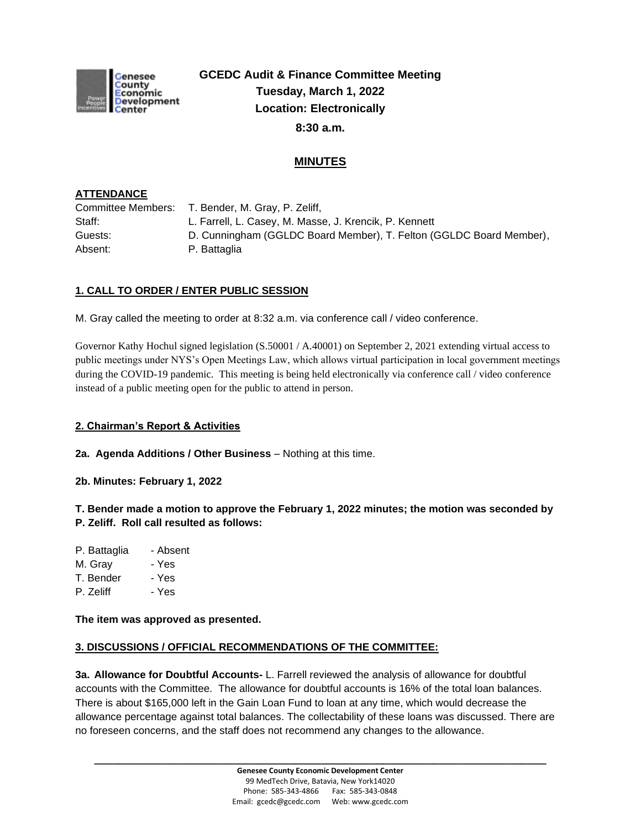

**GCEDC Audit & Finance Committee Meeting Tuesday, March 1, 2022 Location: Electronically 8:30 a.m.**

# **MINUTES**

### **ATTENDANCE**

|         | Committee Members: T. Bender, M. Gray, P. Zeliff,                   |
|---------|---------------------------------------------------------------------|
| Staff:  | L. Farrell, L. Casey, M. Masse, J. Krencik, P. Kennett              |
| Guests: | D. Cunningham (GGLDC Board Member), T. Felton (GGLDC Board Member), |
| Absent: | P. Battaglia                                                        |

## **1. CALL TO ORDER / ENTER PUBLIC SESSION**

M. Gray called the meeting to order at 8:32 a.m. via conference call / video conference.

Governor Kathy Hochul signed legislation (S.50001 / A.40001) on September 2, 2021 extending virtual access to public meetings under NYS's Open Meetings Law, which allows virtual participation in local government meetings during the COVID-19 pandemic. This meeting is being held electronically via conference call / video conference instead of a public meeting open for the public to attend in person.

### **2. Chairman's Report & Activities**

**2a. Agenda Additions / Other Business** – Nothing at this time.

**2b. Minutes: February 1, 2022**

**T. Bender made a motion to approve the February 1, 2022 minutes; the motion was seconded by P. Zeliff. Roll call resulted as follows:**

- P. Battaglia Absent
- M. Gray Yes
- T. Bender Yes
- P. Zeliff Yes

**The item was approved as presented.**

### **3. DISCUSSIONS / OFFICIAL RECOMMENDATIONS OF THE COMMITTEE:**

**3a. Allowance for Doubtful Accounts-** L. Farrell reviewed the analysis of allowance for doubtful accounts with the Committee. The allowance for doubtful accounts is 16% of the total loan balances. There is about \$165,000 left in the Gain Loan Fund to loan at any time, which would decrease the allowance percentage against total balances. The collectability of these loans was discussed. There are no foreseen concerns, and the staff does not recommend any changes to the allowance.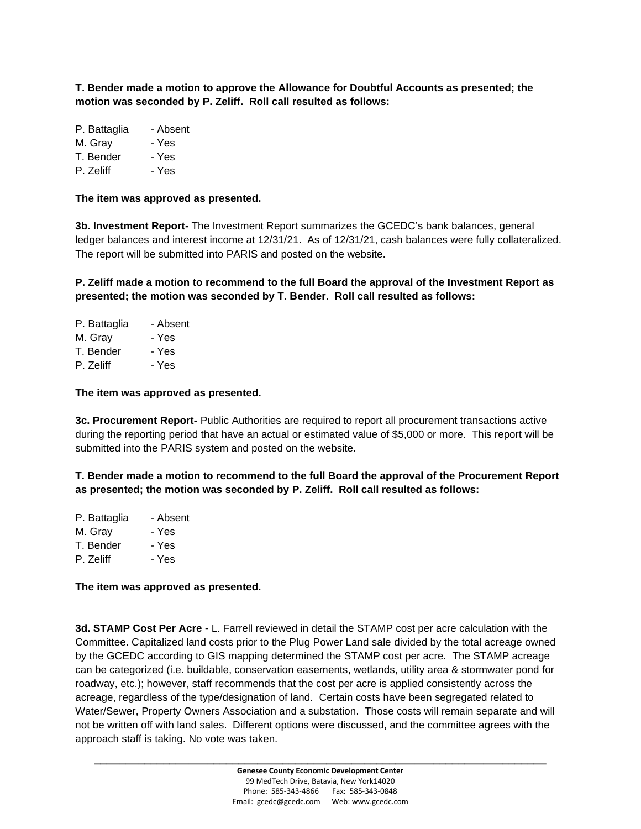**T. Bender made a motion to approve the Allowance for Doubtful Accounts as presented; the motion was seconded by P. Zeliff. Roll call resulted as follows:**

| P. Battaglia | - Absent |
|--------------|----------|
| M. Gray      | - Yes    |
| T. Bender    | - Yes    |

P. Zeliff - Yes

**The item was approved as presented.**

**3b. Investment Report-** The Investment Report summarizes the GCEDC's bank balances, general ledger balances and interest income at 12/31/21. As of 12/31/21, cash balances were fully collateralized. The report will be submitted into PARIS and posted on the website.

**P. Zeliff made a motion to recommend to the full Board the approval of the Investment Report as presented; the motion was seconded by T. Bender. Roll call resulted as follows:**

| - Absent |
|----------|
| - Yes    |
| - Yes    |
| - Yes    |
|          |

**The item was approved as presented.**

**3c. Procurement Report-** Public Authorities are required to report all procurement transactions active during the reporting period that have an actual or estimated value of \$5,000 or more. This report will be submitted into the PARIS system and posted on the website.

**T. Bender made a motion to recommend to the full Board the approval of the Procurement Report as presented; the motion was seconded by P. Zeliff. Roll call resulted as follows:**

| P. Battaglia | - Absent |
|--------------|----------|
| M. Gray      | - Yes    |
| T. Bender    | - Yes    |
| P. Zeliff    | - Yes    |
|              |          |

**The item was approved as presented.**

**3d. STAMP Cost Per Acre -** L. Farrell reviewed in detail the STAMP cost per acre calculation with the Committee. Capitalized land costs prior to the Plug Power Land sale divided by the total acreage owned by the GCEDC according to GIS mapping determined the STAMP cost per acre. The STAMP acreage can be categorized (i.e. buildable, conservation easements, wetlands, utility area & stormwater pond for roadway, etc.); however, staff recommends that the cost per acre is applied consistently across the acreage, regardless of the type/designation of land. Certain costs have been segregated related to Water/Sewer, Property Owners Association and a substation. Those costs will remain separate and will not be written off with land sales. Different options were discussed, and the committee agrees with the approach staff is taking. No vote was taken.